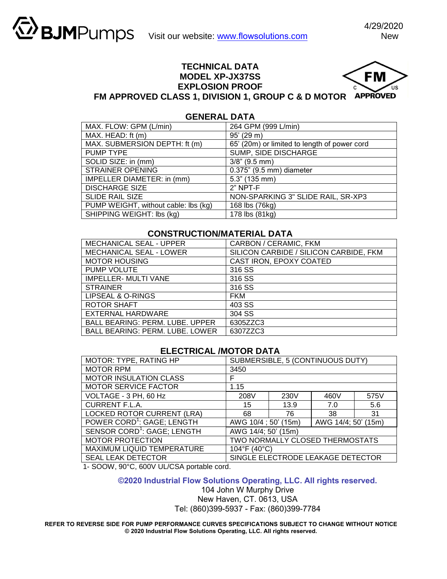4/29/2020

#### **TECHNICAL DATA FM MODEL XP-JX37SS EXPLOSION PROOF**  US **FM APPROVED CLASS 1, DIVISION 1, GROUP C & D MOTOR**

# **GENERAL DATA**

| MAX. FLOW: GPM (L/min)               | 264 GPM (999 L/min)                          |  |  |
|--------------------------------------|----------------------------------------------|--|--|
| MAX. HEAD: ft (m)                    | 95' (29 m)                                   |  |  |
| MAX. SUBMERSION DEPTH: ft (m)        | 65' (20m) or limited to length of power cord |  |  |
| PUMP TYPE                            | SUMP, SIDE DISCHARGE                         |  |  |
| SOLID SIZE: in (mm)                  | $3/8$ " (9.5 mm)                             |  |  |
| <b>STRAINER OPENING</b>              | 0.375" (9.5 mm) diameter                     |  |  |
| IMPELLER DIAMETER: in (mm)           | $5.3"$ (135 mm)                              |  |  |
| <b>DISCHARGE SIZE</b>                | $2"$ NPT-F                                   |  |  |
| <b>SLIDE RAIL SIZE</b>               | NON-SPARKING 3" SLIDE RAIL, SR-XP3           |  |  |
| PUMP WEIGHT, without cable: lbs (kg) | 168 lbs (76kg)                               |  |  |
| SHIPPING WEIGHT: Ibs (kg)            | 178 lbs (81kg)                               |  |  |

# **CONSTRUCTION/MATERIAL DATA**

| <b>MECHANICAL SEAL - UPPER</b>         | CARBON / CERAMIC, FKM                  |  |  |
|----------------------------------------|----------------------------------------|--|--|
| MECHANICAL SEAL - LOWER                | SILICON CARBIDE / SILICON CARBIDE, FKM |  |  |
| <b>MOTOR HOUSING</b>                   | CAST IRON, EPOXY COATED                |  |  |
| PUMP VOLUTE                            | 316 SS                                 |  |  |
| IMPELLER- MULTI VANE                   | 316 SS                                 |  |  |
| <b>STRAINER</b>                        | 316 SS                                 |  |  |
| LIPSEAL & O-RINGS                      | <b>FKM</b>                             |  |  |
| <b>ROTOR SHAFT</b>                     | 403 SS                                 |  |  |
| EXTERNAL HARDWARE                      | 304 SS                                 |  |  |
| <b>BALL BEARING: PERM. LUBE. UPPER</b> | 6305ZZC3                               |  |  |
| <b>BALL BEARING: PERM. LUBE. LOWER</b> | 6307ZZC3                               |  |  |

# **ELECTRICAL /MOTOR DATA**

| MOTOR: TYPE, RATING HP                  | SUBMERSIBLE, 5 (CONTINUOUS DUTY)           |      |      |      |  |
|-----------------------------------------|--------------------------------------------|------|------|------|--|
| <b>MOTOR RPM</b>                        | 3450                                       |      |      |      |  |
| <b>MOTOR INSULATION CLASS</b>           | F                                          |      |      |      |  |
| <b>MOTOR SERVICE FACTOR</b>             | 1.15                                       |      |      |      |  |
| VOLTAGE - 3 PH, 60 Hz                   | 208V                                       | 230V | 460V | 575V |  |
| <b>CURRENT F.L.A.</b>                   | 15                                         | 13.9 | 7.0  | 5.6  |  |
| <b>LOCKED ROTOR CURRENT (LRA)</b>       | 68                                         | 76   | 38   | 31   |  |
| POWER CORD <sup>1</sup> : GAGE; LENGTH  | AWG 10/4; 50' (15m)<br>AWG 14/4; 50' (15m) |      |      |      |  |
| SENSOR CORD <sup>1</sup> : GAGE; LENGTH | AWG 14/4; 50' (15m)                        |      |      |      |  |
| <b>MOTOR PROTECTION</b>                 | TWO NORMALLY CLOSED THERMOSTATS            |      |      |      |  |
| MAXIMUM LIQUID TEMPERATURE              | 104°F (40°C)                               |      |      |      |  |
| <b>SEAL LEAK DETECTOR</b>               | SINGLE ELECTRODE LEAKAGE DETECTOR          |      |      |      |  |

1- SOOW, 90°C, 600V UL/CSA portable cord.

#### **©2020 Industrial Flow Solutions Operating, LLC. All rights reserved.**

104 John W Murphy Drive New Haven, CT. 0613, USA Tel: (860)399-5937 - Fax: (860)399-7784

**REFER TO REVERSE SIDE FOR PUMP PERFORMANCE CURVES SPECIFICATIONS SUBJECT TO CHANGE WITHOUT NOTICE © 2020 Industrial Flow Solutions Operating, LLC. All rights reserved.**